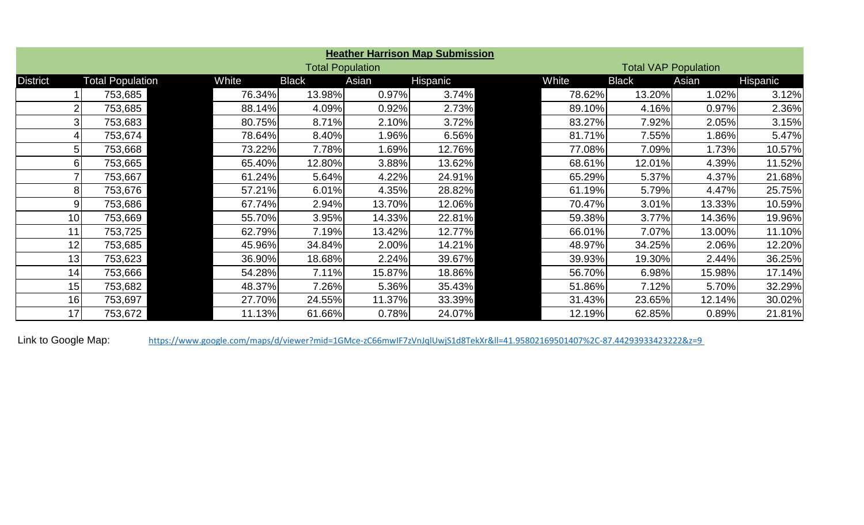| <b>Heather Harrison Map Submission</b> |                         |        |              |        |          |       |                             |              |          |          |  |
|----------------------------------------|-------------------------|--------|--------------|--------|----------|-------|-----------------------------|--------------|----------|----------|--|
|                                        | <b>Total Population</b> |        |              |        |          |       | <b>Total VAP Population</b> |              |          |          |  |
| <b>District</b>                        | <b>Total Population</b> | White  | <b>Black</b> | Asian  | Hispanic | White |                             | <b>Black</b> | Asian    | Hispanic |  |
|                                        | 753,685                 | 76.34% | 13.98%       | 0.97%  | 3.74%    |       | 78.62%                      | 13.20%       | 1.02%    | 3.12%    |  |
|                                        | 753,685                 | 88.14% | 4.09%        | 0.92%  | 2.73%    |       | 89.10%                      | 4.16%        | 0.97%    | 2.36%    |  |
| 3                                      | 753,683                 | 80.75% | 8.71%        | 2.10%  | 3.72%    |       | 83.27%                      | 7.92%        | 2.05%    | 3.15%    |  |
|                                        | 753,674                 | 78.64% | 8.40%        | 1.96%  | 6.56%    |       | 81.71%                      | 7.55%        | $1.86\%$ | 5.47%    |  |
| 51                                     | 753,668                 | 73.22% | 7.78%        | 1.69%  | 12.76%   |       | 77.08%                      | 7.09%        | .73%     | 10.57%   |  |
| 6                                      | 753,665                 | 65.40% | 12.80%       | 3.88%  | 13.62%   |       | 68.61%                      | 12.01%       | 4.39%    | 11.52%   |  |
|                                        | 753,667                 | 61.24% | 5.64%        | 4.22%  | 24.91%   |       | 65.29%                      | 5.37%        | 4.37%    | 21.68%   |  |
| 81                                     | 753,676                 | 57.21% | 6.01%        | 4.35%  | 28.82%   |       | 61.19%                      | 5.79%        | 4.47%    | 25.75%   |  |
| 9                                      | 753,686                 | 67.74% | 2.94%        | 13.70% | 12.06%   |       | 70.47%                      | 3.01%        | 13.33%   | 10.59%   |  |
| 10 <sub>1</sub>                        | 753,669                 | 55.70% | 3.95%        | 14.33% | 22.81%   |       | 59.38%                      | 3.77%        | 14.36%   | 19.96%   |  |
| 11                                     | 753,725                 | 62.79% | 7.19%        | 13.42% | 12.77%   |       | 66.01%                      | 7.07%        | 13.00%   | 11.10%   |  |
| 12                                     | 753,685                 | 45.96% | 34.84%       | 2.00%  | 14.21%   |       | 48.97%                      | 34.25%       | 2.06%    | 12.20%   |  |
| 13                                     | 753,623                 | 36.90% | 18.68%       | 2.24%  | 39.67%   |       | 39.93%                      | 19.30%       | 2.44%    | 36.25%   |  |
| 14 <sub>1</sub>                        | 753,666                 | 54.28% | 7.11%        | 15.87% | 18.86%   |       | 56.70%                      | 6.98%        | 15.98%   | 17.14%   |  |
| 15                                     | 753,682                 | 48.37% | 7.26%        | 5.36%  | 35.43%   |       | 51.86%                      | 7.12%        | 5.70%    | 32.29%   |  |
| 16                                     | 753,697                 | 27.70% | 24.55%       | 11.37% | 33.39%   |       | 31.43%                      | 23.65%       | 12.14%   | 30.02%   |  |
| 17                                     | 753,672                 | 11.13% | 61.66%       | 0.78%  | 24.07%   |       | 12.19%                      | 62.85%       | 0.89%    | 21.81%   |  |

Link to Google Map: https://www.google.com/maps/d/viewer?mid=1GMce-zC66mwIF7zVnJqlUwjS1d8TekXr&ll=41.95802169501407%2C-87.44293933423222&z=9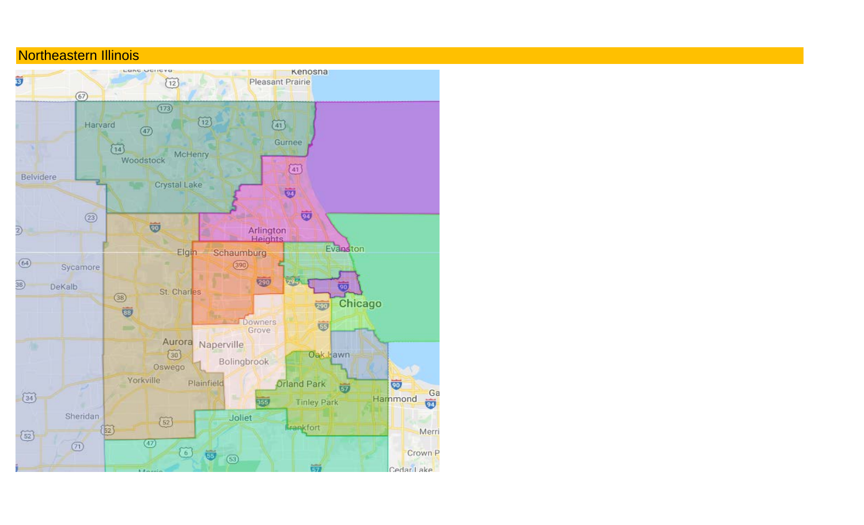## Northeastern Illinois